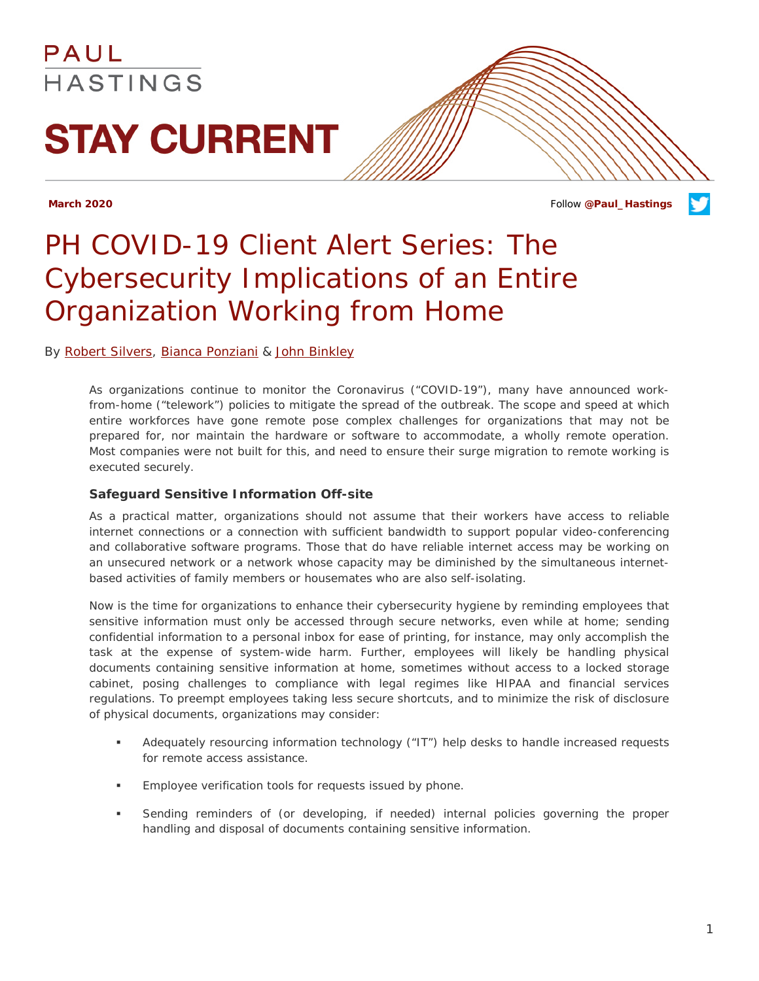### PAUL HASTINGS

# **STAY CURRENT**

**March 2020** Follow **[@Paul\\_Hastings](http://twitter.com/Paul_Hastings)**

## *PH COVID-19 Client Alert Series: The Cybersecurity Implications of an Entire Organization Working from Home*

#### By [Robert Silvers,](https://paulhastings.com/professionals/details/robertsilvers) [Bianca Ponziani](https://paulhastings.com/professionals/details/biancaponziani) & [John Binkley](https://paulhastings.com/professionals/details/johnbinkley)

As organizations continue to monitor the Coronavirus ("COVID-19"), many have announced workfrom-home ("telework") policies to mitigate the spread of the outbreak. The scope and speed at which entire workforces have gone remote pose complex challenges for organizations that may not be prepared for, nor maintain the hardware or software to accommodate, a wholly remote operation. Most companies were not built for this, and need to ensure their surge migration to remote working is executed securely.

#### **Safeguard Sensitive Information Off-site**

As a practical matter, organizations should not assume that their workers have access to reliable internet connections or a connection with sufficient bandwidth to support popular video-conferencing and collaborative software programs. Those that do have reliable internet access may be working on an unsecured network or a network whose capacity may be diminished by the simultaneous internetbased activities of family members or housemates who are also self-isolating.

Now is the time for organizations to enhance their cybersecurity hygiene by reminding employees that sensitive information must only be accessed through secure networks, even while at home; sending confidential information to a personal inbox for ease of printing, for instance, may only accomplish the task at the expense of system-wide harm. Further, employees will likely be handling physical documents containing sensitive information at home, sometimes without access to a locked storage cabinet, posing challenges to compliance with legal regimes like HIPAA and financial services regulations. To preempt employees taking less secure shortcuts, and to minimize the risk of disclosure of physical documents, organizations may consider:

- Adequately resourcing information technology ("IT") help desks to handle increased requests for remote access assistance.
- Employee verification tools for requests issued by phone.
- Sending reminders of (or developing, if needed) internal policies governing the proper handling and disposal of documents containing sensitive information.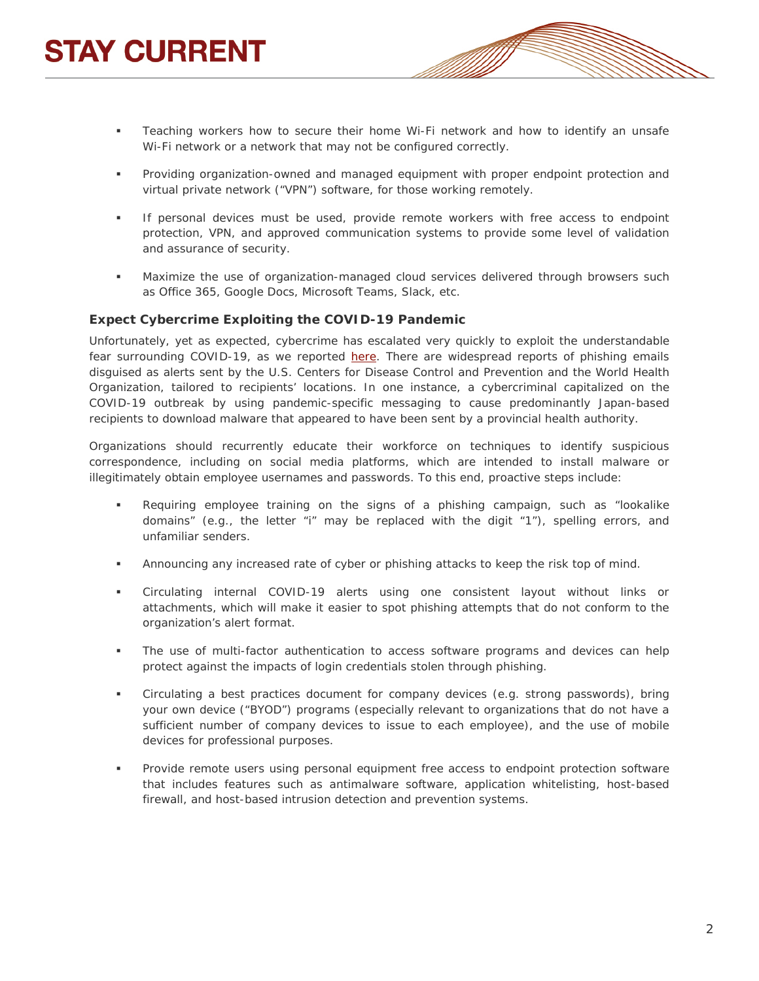- 
- Teaching workers how to secure their home Wi-Fi network and how to identify an unsafe Wi-Fi network or a network that may not be configured correctly.
- Providing organization-owned and managed equipment with proper endpoint protection and virtual private network ("VPN") software, for those working remotely.
- **If personal devices must be used, provide remote workers with free access to endpoint** protection, VPN, and approved communication systems to provide some level of validation and assurance of security.
- Maximize the use of organization-managed cloud services delivered through browsers such as Office 365, Google Docs, Microsoft Teams, Slack, etc.

#### **Expect Cybercrime Exploiting the COVID-19 Pandemic**

Unfortunately, yet as expected, cybercrime has escalated very quickly to exploit the understandable fear surrounding COVID-19, as we reported [here.](https://www.paulhastings.com/publications-items/details/?id=7814e26e-2334-6428-811c-ff00004cbded) There are widespread reports of phishing emails disguised as alerts sent by the U.S. Centers for Disease Control and Prevention and the World Health Organization, tailored to recipients' locations. In one instance, a cybercriminal capitalized on the COVID-19 outbreak by using pandemic-specific messaging to cause predominantly Japan-based recipients to download malware that appeared to have been sent by a provincial health authority.

Organizations should recurrently educate their workforce on techniques to identify suspicious correspondence, including on social media platforms, which are intended to install malware or illegitimately obtain employee usernames and passwords. To this end, proactive steps include:

- Requiring employee training on the signs of a phishing campaign, such as "lookalike domains" (e.g., the letter "i" may be replaced with the digit "1"), spelling errors, and unfamiliar senders.
- Announcing any increased rate of cyber or phishing attacks to keep the risk top of mind.
- Circulating internal COVID-19 alerts using one consistent layout without links or attachments, which will make it easier to spot phishing attempts that do not conform to the organization's alert format.
- The use of multi-factor authentication to access software programs and devices can help protect against the impacts of login credentials stolen through phishing.
- Circulating a best practices document for company devices (e.g. strong passwords), bring your own device ("BYOD") programs (especially relevant to organizations that do not have a sufficient number of company devices to issue to each employee), and the use of mobile devices for professional purposes.
- Provide remote users using personal equipment free access to endpoint protection software that includes features such as antimalware software, application whitelisting, host-based firewall, and host-based intrusion detection and prevention systems.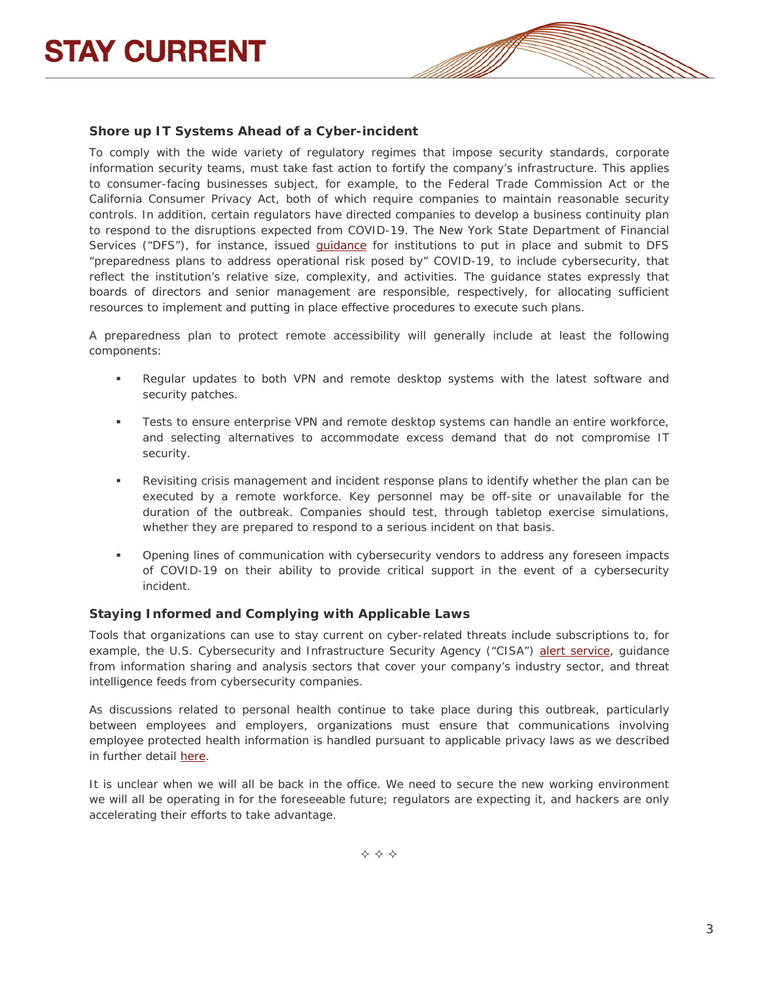

#### **Shore up IT Systems Ahead of a Cyber-incident**

To comply with the wide variety of regulatory regimes that impose security standards, corporate information security teams, must take fast action to fortify the company's infrastructure. This applies to consumer-facing businesses subject, for example, to the Federal Trade Commission Act or the California Consumer Privacy Act, both of which require companies to maintain reasonable security controls. In addition, certain regulators have directed companies to develop a business continuity plan to respond to the disruptions expected from COVID-19. The New York State Department of Financial Services ("DFS"), for instance, issued *guidance* for institutions to put in place and submit to DFS "preparedness plans to address operational risk posed by" COVID-19, to include cybersecurity, that reflect the institution's relative size, complexity, and activities. The guidance states expressly that boards of directors and senior management are responsible, respectively, for allocating sufficient resources to implement and putting in place effective procedures to execute such plans.

A preparedness plan to protect remote accessibility will generally include at least the following components:

- Regular updates to both VPN and remote desktop systems with the latest software and security patches.
- Tests to ensure enterprise VPN and remote desktop systems can handle an entire workforce, and selecting alternatives to accommodate excess demand that do not compromise IT security.
- Revisiting crisis management and incident response plans to identify whether the plan can be executed by a remote workforce. Key personnel may be off-site or unavailable for the duration of the outbreak. Companies should test, through tabletop exercise simulations, whether they are prepared to respond to a serious incident on that basis.
- Opening lines of communication with cybersecurity vendors to address any foreseen impacts of COVID-19 on their ability to provide critical support in the event of a cybersecurity incident.

#### **Staying Informed and Complying with Applicable Laws**

Tools that organizations can use to stay current on cyber-related threats include subscriptions to, for example, the U.S. Cybersecurity and Infrastructure Security Agency ("CISA") [alert service,](https://www.us-cert.gov/ncas/alerts) guidance from information sharing and analysis sectors that cover your company's industry sector, and threat intelligence feeds from cybersecurity companies.

As discussions related to personal health continue to take place during this outbreak, particularly between employees and employers, organizations must ensure that communications involving employee protected health information is handled pursuant to applicable privacy laws as we described in further detail [here.](https://www.paulhastings.com/publications-items/details/?id=7814e26e-2334-6428-811c-ff00004cbded)

It is unclear when we will all be back in the office. We need to secure the new working environment we will all be operating in for the foreseeable future; regulators are expecting it, and hackers are only accelerating their efforts to take advantage.

 $\Leftrightarrow$   $\Leftrightarrow$   $\Leftrightarrow$